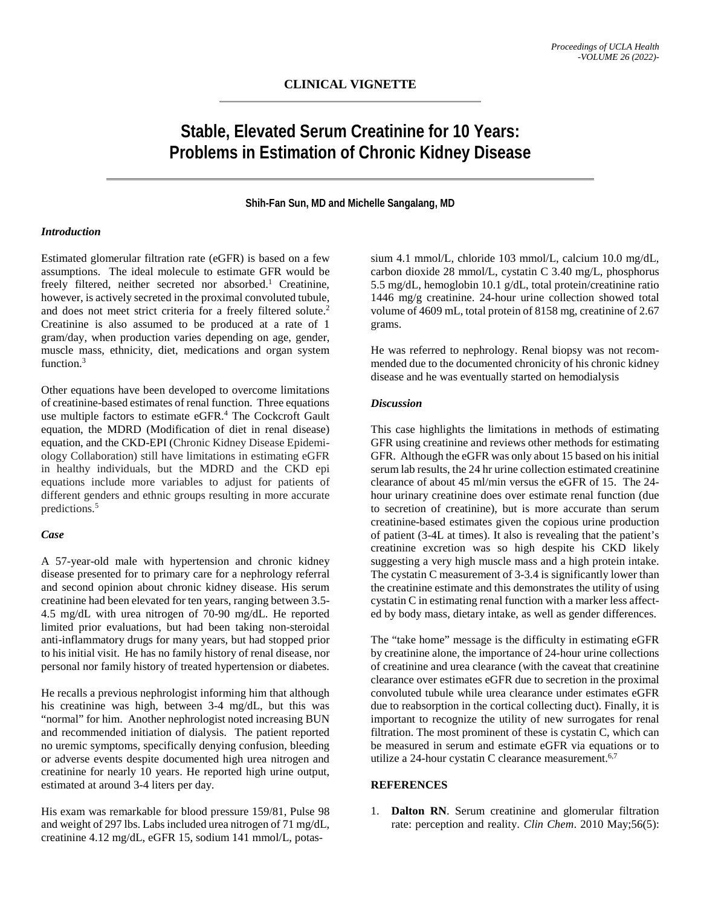# **Stable, Elevated Serum Creatinine for 10 Years: Problems in Estimation of Chronic Kidney Disease**

## **Shih-Fan Sun, MD and Michelle Sangalang, MD**

#### *Introduction*

Estimated glomerular filtration rate (eGFR) is based on a few assumptions. The ideal molecule to estimate GFR would be freely filtered, neither secreted nor absorbed. <sup>1</sup> Creatinine, however, is actively secreted in the proximal convoluted tubule, and does not meet strict criteria for a freely filtered solute.<sup>2</sup> Creatinine is also assumed to be produced at a rate of 1 gram/day, when production varies depending on age, gender, muscle mass, ethnicity, diet, medications and organ system function.3

Other equations have been developed to overcome limitations of creatinine-based estimates of renal function. Three equations use multiple factors to estimate eGFR.<sup>4</sup> The Cockcroft Gault equation, the MDRD (Modification of diet in renal disease) equation, and the CKD-EPI (Chronic Kidney Disease Epidemiology Collaboration) still have limitations in estimating eGFR in healthy individuals, but the MDRD and the CKD epi equations include more variables to adjust for patients of different genders and ethnic groups resulting in more accurate predictions.5

### *Case*

A 57-year-old male with hypertension and chronic kidney disease presented for to primary care for a nephrology referral and second opinion about chronic kidney disease. His serum creatinine had been elevated for ten years, ranging between 3.5- 4.5 mg/dL with urea nitrogen of 70-90 mg/dL. He reported limited prior evaluations, but had been taking non-steroidal anti-inflammatory drugs for many years, but had stopped prior to his initial visit. He has no family history of renal disease, nor personal nor family history of treated hypertension or diabetes.

He recalls a previous nephrologist informing him that although his creatinine was high, between 3-4 mg/dL, but this was "normal" for him. Another nephrologist noted increasing BUN and recommended initiation of dialysis. The patient reported no uremic symptoms, specifically denying confusion, bleeding or adverse events despite documented high urea nitrogen and creatinine for nearly 10 years. He reported high urine output, estimated at around 3-4 liters per day.

His exam was remarkable for blood pressure 159/81, Pulse 98 and weight of 297 lbs. Labs included urea nitrogen of 71 mg/dL, creatinine 4.12 mg/dL, eGFR 15, sodium 141 mmol/L, potas-

sium 4.1 mmol/L, chloride 103 mmol/L, calcium 10.0 mg/dL, carbon dioxide 28 mmol/L, cystatin C 3.40 mg/L, phosphorus 5.5 mg/dL, hemoglobin 10.1 g/dL, total protein/creatinine ratio 1446 mg/g creatinine. 24-hour urine collection showed total volume of 4609 mL, total protein of 8158 mg, creatinine of 2.67 grams.

He was referred to nephrology. Renal biopsy was not recommended due to the documented chronicity of his chronic kidney disease and he was eventually started on hemodialysis

## *Discussion*

This case highlights the limitations in methods of estimating GFR using creatinine and reviews other methods for estimating GFR. Although the eGFR was only about 15 based on his initial serum lab results, the 24 hr urine collection estimated creatinine clearance of about 45 ml/min versus the eGFR of 15. The 24 hour urinary creatinine does over estimate renal function (due to secretion of creatinine), but is more accurate than serum creatinine-based estimates given the copious urine production of patient (3-4L at times). It also is revealing that the patient's creatinine excretion was so high despite his CKD likely suggesting a very high muscle mass and a high protein intake. The cystatin C measurement of 3-3.4 is significantly lower than the creatinine estimate and this demonstrates the utility of using cystatin C in estimating renal function with a marker less affected by body mass, dietary intake, as well as gender differences.

The "take home" message is the difficulty in estimating eGFR by creatinine alone, the importance of 24-hour urine collections of creatinine and urea clearance (with the caveat that creatinine clearance over estimates eGFR due to secretion in the proximal convoluted tubule while urea clearance under estimates eGFR due to reabsorption in the cortical collecting duct). Finally, it is important to recognize the utility of new surrogates for renal filtration. The most prominent of these is cystatin C, which can be measured in serum and estimate eGFR via equations or to utilize a 24-hour cystatin C clearance measurement.<sup>6,7</sup>

## **REFERENCES**

1. **Dalton RN**. Serum creatinine and glomerular filtration rate: perception and reality. *Clin Chem*. 2010 May;56(5):